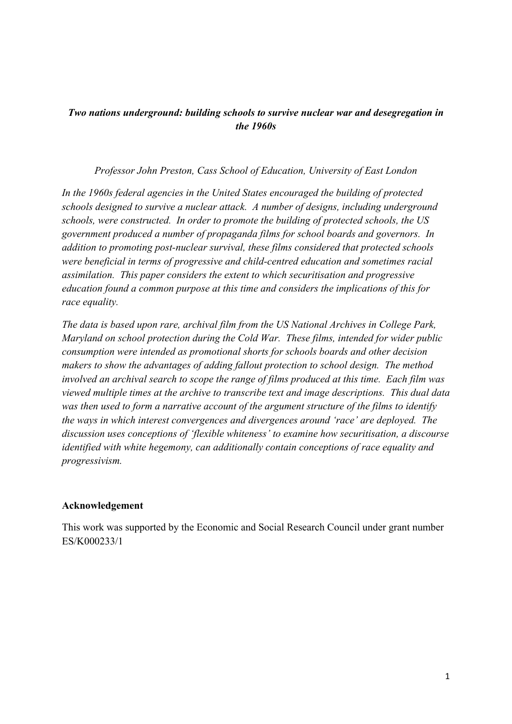# *Two nations underground: building schools to survive nuclear war and desegregation in the 1960s*

# *Professor John Preston, Cass School of Education, University of East London*

*In the 1960s federal agencies in the United States encouraged the building of protected schools designed to survive a nuclear attack. A number of designs, including underground schools, were constructed. In order to promote the building of protected schools, the US government produced a number of propaganda films for school boards and governors. In addition to promoting post-nuclear survival, these films considered that protected schools were beneficial in terms of progressive and child-centred education and sometimes racial assimilation. This paper considers the extent to which securitisation and progressive education found a common purpose at this time and considers the implications of this for race equality.* 

*The data is based upon rare, archival film from the US National Archives in College Park, Maryland on school protection during the Cold War. These films, intended for wider public consumption were intended as promotional shorts for schools boards and other decision makers to show the advantages of adding fallout protection to school design. The method involved an archival search to scope the range of films produced at this time. Each film was viewed multiple times at the archive to transcribe text and image descriptions. This dual data was then used to form a narrative account of the argument structure of the films to identify the ways in which interest convergences and divergences around 'race' are deployed. The discussion uses conceptions of 'flexible whiteness' to examine how securitisation, a discourse identified with white hegemony, can additionally contain conceptions of race equality and progressivism.* 

# **Acknowledgement**

This work was supported by the Economic and Social Research Council under grant number ES/K000233/1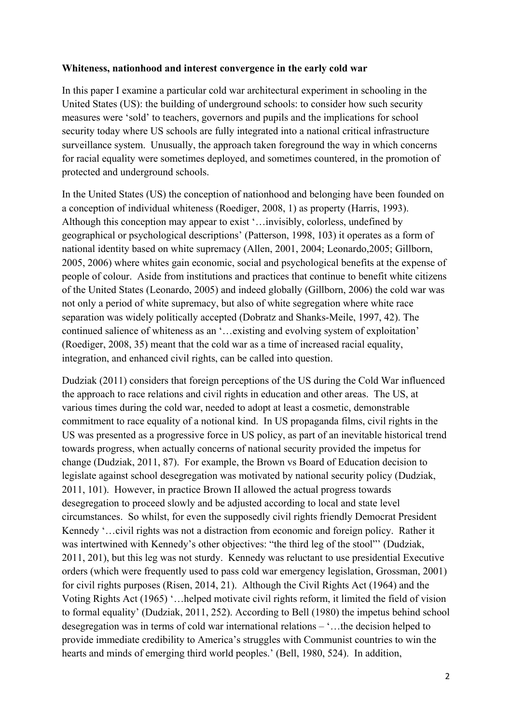### **Whiteness, nationhood and interest convergence in the early cold war**

In this paper I examine a particular cold war architectural experiment in schooling in the United States (US): the building of underground schools: to consider how such security measures were 'sold' to teachers, governors and pupils and the implications for school security today where US schools are fully integrated into a national critical infrastructure surveillance system. Unusually, the approach taken foreground the way in which concerns for racial equality were sometimes deployed, and sometimes countered, in the promotion of protected and underground schools.

In the United States (US) the conception of nationhood and belonging have been founded on a conception of individual whiteness (Roediger, 2008, 1) as property (Harris, 1993). Although this conception may appear to exist '…invisibly, colorless, undefined by geographical or psychological descriptions' (Patterson, 1998, 103) it operates as a form of national identity based on white supremacy (Allen, 2001, 2004; Leonardo,2005; Gillborn, 2005, 2006) where whites gain economic, social and psychological benefits at the expense of people of colour. Aside from institutions and practices that continue to benefit white citizens of the United States (Leonardo, 2005) and indeed globally (Gillborn, 2006) the cold war was not only a period of white supremacy, but also of white segregation where white race separation was widely politically accepted (Dobratz and Shanks-Meile, 1997, 42). The continued salience of whiteness as an '…existing and evolving system of exploitation' (Roediger, 2008, 35) meant that the cold war as a time of increased racial equality, integration, and enhanced civil rights, can be called into question.

Dudziak (2011) considers that foreign perceptions of the US during the Cold War influenced the approach to race relations and civil rights in education and other areas. The US, at various times during the cold war, needed to adopt at least a cosmetic, demonstrable commitment to race equality of a notional kind. In US propaganda films, civil rights in the US was presented as a progressive force in US policy, as part of an inevitable historical trend towards progress, when actually concerns of national security provided the impetus for change (Dudziak, 2011, 87). For example, the Brown vs Board of Education decision to legislate against school desegregation was motivated by national security policy (Dudziak, 2011, 101). However, in practice Brown II allowed the actual progress towards desegregation to proceed slowly and be adjusted according to local and state level circumstances. So whilst, for even the supposedly civil rights friendly Democrat President Kennedy '…civil rights was not a distraction from economic and foreign policy. Rather it was intertwined with Kennedy's other objectives: "the third leg of the stool"' (Dudziak, 2011, 201), but this leg was not sturdy. Kennedy was reluctant to use presidential Executive orders (which were frequently used to pass cold war emergency legislation, Grossman, 2001) for civil rights purposes (Risen, 2014, 21). Although the Civil Rights Act (1964) and the Voting Rights Act (1965) '…helped motivate civil rights reform, it limited the field of vision to formal equality' (Dudziak, 2011, 252). According to Bell (1980) the impetus behind school desegregation was in terms of cold war international relations – '…the decision helped to provide immediate credibility to America's struggles with Communist countries to win the hearts and minds of emerging third world peoples.' (Bell, 1980, 524). In addition,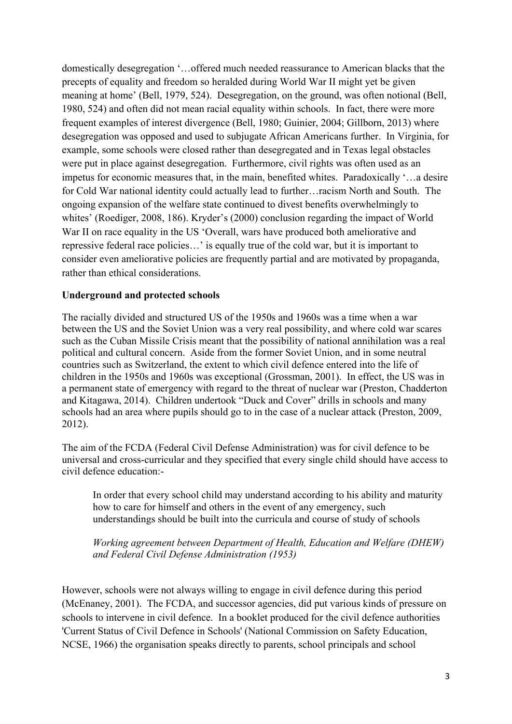domestically desegregation '…offered much needed reassurance to American blacks that the precepts of equality and freedom so heralded during World War II might yet be given meaning at home' (Bell, 1979, 524). Desegregation, on the ground, was often notional (Bell, 1980, 524) and often did not mean racial equality within schools. In fact, there were more frequent examples of interest divergence (Bell, 1980; Guinier, 2004; Gillborn, 2013) where desegregation was opposed and used to subjugate African Americans further. In Virginia, for example, some schools were closed rather than desegregated and in Texas legal obstacles were put in place against desegregation. Furthermore, civil rights was often used as an impetus for economic measures that, in the main, benefited whites. Paradoxically '…a desire for Cold War national identity could actually lead to further…racism North and South. The ongoing expansion of the welfare state continued to divest benefits overwhelmingly to whites' (Roediger, 2008, 186). Kryder's (2000) conclusion regarding the impact of World War II on race equality in the US 'Overall, wars have produced both ameliorative and repressive federal race policies…' is equally true of the cold war, but it is important to consider even ameliorative policies are frequently partial and are motivated by propaganda, rather than ethical considerations.

# **Underground and protected schools**

The racially divided and structured US of the 1950s and 1960s was a time when a war between the US and the Soviet Union was a very real possibility, and where cold war scares such as the Cuban Missile Crisis meant that the possibility of national annihilation was a real political and cultural concern. Aside from the former Soviet Union, and in some neutral countries such as Switzerland, the extent to which civil defence entered into the life of children in the 1950s and 1960s was exceptional (Grossman, 2001). In effect, the US was in a permanent state of emergency with regard to the threat of nuclear war (Preston, Chadderton and Kitagawa, 2014). Children undertook "Duck and Cover" drills in schools and many schools had an area where pupils should go to in the case of a nuclear attack (Preston, 2009, 2012).

The aim of the FCDA (Federal Civil Defense Administration) was for civil defence to be universal and cross-curricular and they specified that every single child should have access to civil defence education:-

In order that every school child may understand according to his ability and maturity how to care for himself and others in the event of any emergency, such understandings should be built into the curricula and course of study of schools

### *Working agreement between Department of Health, Education and Welfare (DHEW) and Federal Civil Defense Administration (1953)*

However, schools were not always willing to engage in civil defence during this period (McEnaney, 2001). The FCDA, and successor agencies, did put various kinds of pressure on schools to intervene in civil defence. In a booklet produced for the civil defence authorities 'Current Status of Civil Defence in Schools' (National Commission on Safety Education, NCSE, 1966) the organisation speaks directly to parents, school principals and school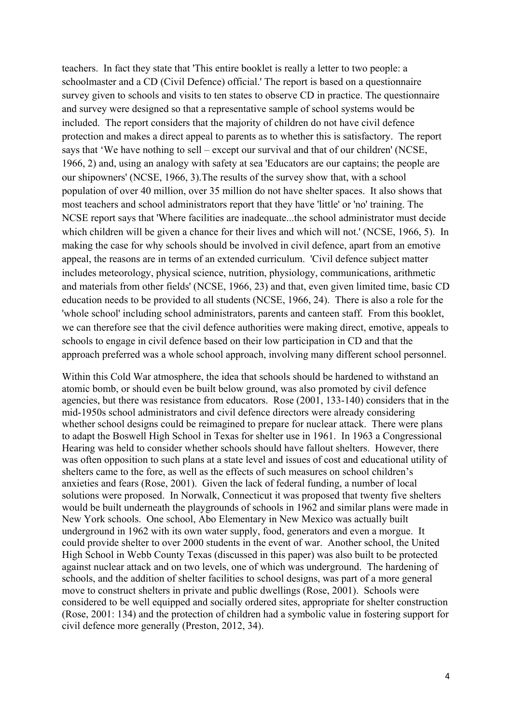teachers. In fact they state that 'This entire booklet is really a letter to two people: a schoolmaster and a CD (Civil Defence) official.' The report is based on a questionnaire survey given to schools and visits to ten states to observe CD in practice. The questionnaire and survey were designed so that a representative sample of school systems would be included. The report considers that the majority of children do not have civil defence protection and makes a direct appeal to parents as to whether this is satisfactory. The report says that 'We have nothing to sell – except our survival and that of our children' (NCSE, 1966, 2) and, using an analogy with safety at sea 'Educators are our captains; the people are our shipowners' (NCSE, 1966, 3).The results of the survey show that, with a school population of over 40 million, over 35 million do not have shelter spaces. It also shows that most teachers and school administrators report that they have 'little' or 'no' training. The NCSE report says that 'Where facilities are inadequate...the school administrator must decide which children will be given a chance for their lives and which will not.' (NCSE, 1966, 5). In making the case for why schools should be involved in civil defence, apart from an emotive appeal, the reasons are in terms of an extended curriculum. 'Civil defence subject matter includes meteorology, physical science, nutrition, physiology, communications, arithmetic and materials from other fields' (NCSE, 1966, 23) and that, even given limited time, basic CD education needs to be provided to all students (NCSE, 1966, 24). There is also a role for the 'whole school' including school administrators, parents and canteen staff. From this booklet, we can therefore see that the civil defence authorities were making direct, emotive, appeals to schools to engage in civil defence based on their low participation in CD and that the approach preferred was a whole school approach, involving many different school personnel.

Within this Cold War atmosphere, the idea that schools should be hardened to withstand an atomic bomb, or should even be built below ground, was also promoted by civil defence agencies, but there was resistance from educators. Rose (2001, 133-140) considers that in the mid-1950s school administrators and civil defence directors were already considering whether school designs could be reimagined to prepare for nuclear attack. There were plans to adapt the Boswell High School in Texas for shelter use in 1961. In 1963 a Congressional Hearing was held to consider whether schools should have fallout shelters. However, there was often opposition to such plans at a state level and issues of cost and educational utility of shelters came to the fore, as well as the effects of such measures on school children's anxieties and fears (Rose, 2001). Given the lack of federal funding, a number of local solutions were proposed. In Norwalk, Connecticut it was proposed that twenty five shelters would be built underneath the playgrounds of schools in 1962 and similar plans were made in New York schools. One school, Abo Elementary in New Mexico was actually built underground in 1962 with its own water supply, food, generators and even a morgue. It could provide shelter to over 2000 students in the event of war. Another school, the United High School in Webb County Texas (discussed in this paper) was also built to be protected against nuclear attack and on two levels, one of which was underground. The hardening of schools, and the addition of shelter facilities to school designs, was part of a more general move to construct shelters in private and public dwellings (Rose, 2001). Schools were considered to be well equipped and socially ordered sites, appropriate for shelter construction (Rose, 2001: 134) and the protection of children had a symbolic value in fostering support for civil defence more generally (Preston, 2012, 34).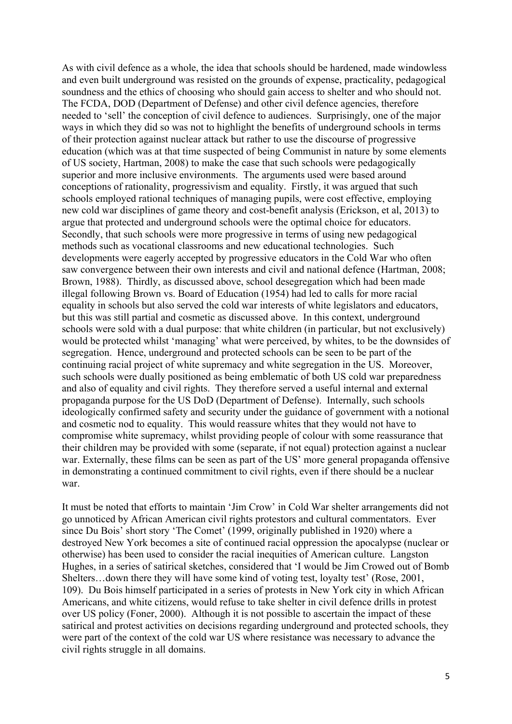As with civil defence as a whole, the idea that schools should be hardened, made windowless and even built underground was resisted on the grounds of expense, practicality, pedagogical soundness and the ethics of choosing who should gain access to shelter and who should not. The FCDA, DOD (Department of Defense) and other civil defence agencies, therefore needed to 'sell' the conception of civil defence to audiences. Surprisingly, one of the major ways in which they did so was not to highlight the benefits of underground schools in terms of their protection against nuclear attack but rather to use the discourse of progressive education (which was at that time suspected of being Communist in nature by some elements of US society, Hartman, 2008) to make the case that such schools were pedagogically superior and more inclusive environments. The arguments used were based around conceptions of rationality, progressivism and equality. Firstly, it was argued that such schools employed rational techniques of managing pupils, were cost effective, employing new cold war disciplines of game theory and cost-benefit analysis (Erickson, et al, 2013) to argue that protected and underground schools were the optimal choice for educators. Secondly, that such schools were more progressive in terms of using new pedagogical methods such as vocational classrooms and new educational technologies. Such developments were eagerly accepted by progressive educators in the Cold War who often saw convergence between their own interests and civil and national defence (Hartman, 2008; Brown, 1988). Thirdly, as discussed above, school desegregation which had been made illegal following Brown vs. Board of Education (1954) had led to calls for more racial equality in schools but also served the cold war interests of white legislators and educators, but this was still partial and cosmetic as discussed above. In this context, underground schools were sold with a dual purpose: that white children (in particular, but not exclusively) would be protected whilst 'managing' what were perceived, by whites, to be the downsides of segregation. Hence, underground and protected schools can be seen to be part of the continuing racial project of white supremacy and white segregation in the US. Moreover, such schools were dually positioned as being emblematic of both US cold war preparedness and also of equality and civil rights. They therefore served a useful internal and external propaganda purpose for the US DoD (Department of Defense). Internally, such schools ideologically confirmed safety and security under the guidance of government with a notional and cosmetic nod to equality. This would reassure whites that they would not have to compromise white supremacy, whilst providing people of colour with some reassurance that their children may be provided with some (separate, if not equal) protection against a nuclear war. Externally, these films can be seen as part of the US' more general propaganda offensive in demonstrating a continued commitment to civil rights, even if there should be a nuclear war.

It must be noted that efforts to maintain 'Jim Crow' in Cold War shelter arrangements did not go unnoticed by African American civil rights protestors and cultural commentators. Ever since Du Bois' short story 'The Comet' (1999, originally published in 1920) where a destroyed New York becomes a site of continued racial oppression the apocalypse (nuclear or otherwise) has been used to consider the racial inequities of American culture. Langston Hughes, in a series of satirical sketches, considered that 'I would be Jim Crowed out of Bomb Shelters…down there they will have some kind of voting test, loyalty test' (Rose, 2001, 109). Du Bois himself participated in a series of protests in New York city in which African Americans, and white citizens, would refuse to take shelter in civil defence drills in protest over US policy (Foner, 2000). Although it is not possible to ascertain the impact of these satirical and protest activities on decisions regarding underground and protected schools, they were part of the context of the cold war US where resistance was necessary to advance the civil rights struggle in all domains.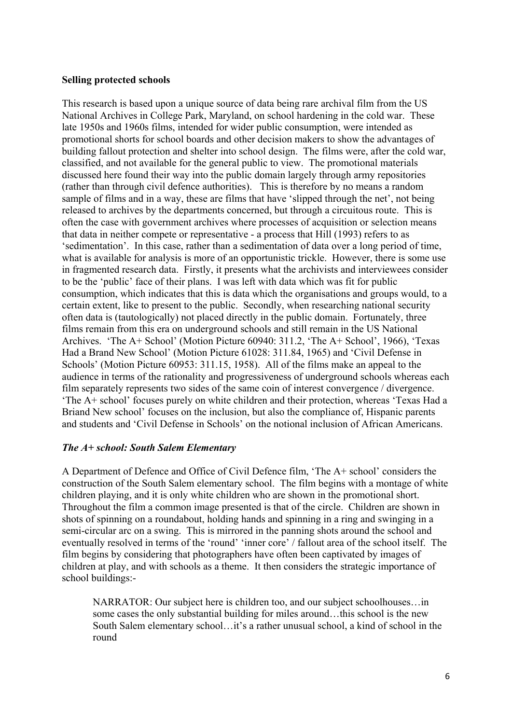#### **Selling protected schools**

This research is based upon a unique source of data being rare archival film from the US National Archives in College Park, Maryland, on school hardening in the cold war. These late 1950s and 1960s films, intended for wider public consumption, were intended as promotional shorts for school boards and other decision makers to show the advantages of building fallout protection and shelter into school design. The films were, after the cold war, classified, and not available for the general public to view. The promotional materials discussed here found their way into the public domain largely through army repositories (rather than through civil defence authorities). This is therefore by no means a random sample of films and in a way, these are films that have 'slipped through the net', not being released to archives by the departments concerned, but through a circuitous route. This is often the case with government archives where processes of acquisition or selection means that data in neither compete or representative - a process that Hill (1993) refers to as 'sedimentation'. In this case, rather than a sedimentation of data over a long period of time, what is available for analysis is more of an opportunistic trickle. However, there is some use in fragmented research data. Firstly, it presents what the archivists and interviewees consider to be the 'public' face of their plans. I was left with data which was fit for public consumption, which indicates that this is data which the organisations and groups would, to a certain extent, like to present to the public. Secondly, when researching national security often data is (tautologically) not placed directly in the public domain. Fortunately, three films remain from this era on underground schools and still remain in the US National Archives. 'The A+ School' (Motion Picture 60940: 311.2, 'The A+ School', 1966), 'Texas Had a Brand New School' (Motion Picture 61028: 311.84, 1965) and 'Civil Defense in Schools' (Motion Picture 60953: 311.15, 1958). All of the films make an appeal to the audience in terms of the rationality and progressiveness of underground schools whereas each film separately represents two sides of the same coin of interest convergence / divergence. 'The A+ school' focuses purely on white children and their protection, whereas 'Texas Had a Briand New school' focuses on the inclusion, but also the compliance of, Hispanic parents and students and 'Civil Defense in Schools' on the notional inclusion of African Americans.

# *The A+ school: South Salem Elementary*

A Department of Defence and Office of Civil Defence film, 'The A+ school' considers the construction of the South Salem elementary school. The film begins with a montage of white children playing, and it is only white children who are shown in the promotional short. Throughout the film a common image presented is that of the circle. Children are shown in shots of spinning on a roundabout, holding hands and spinning in a ring and swinging in a semi-circular arc on a swing. This is mirrored in the panning shots around the school and eventually resolved in terms of the 'round' 'inner core' / fallout area of the school itself. The film begins by considering that photographers have often been captivated by images of children at play, and with schools as a theme. It then considers the strategic importance of school buildings:-

NARRATOR: Our subject here is children too, and our subject schoolhouses…in some cases the only substantial building for miles around…this school is the new South Salem elementary school…it's a rather unusual school, a kind of school in the round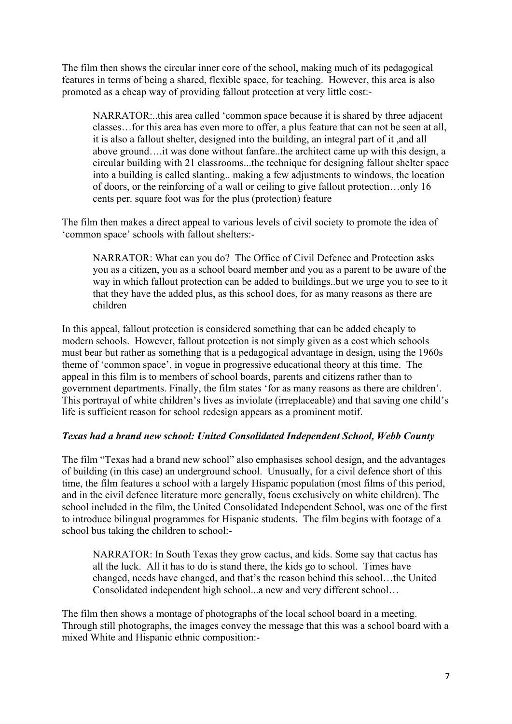The film then shows the circular inner core of the school, making much of its pedagogical features in terms of being a shared, flexible space, for teaching. However, this area is also promoted as a cheap way of providing fallout protection at very little cost:-

NARRATOR:..this area called 'common space because it is shared by three adjacent classes…for this area has even more to offer, a plus feature that can not be seen at all, it is also a fallout shelter, designed into the building, an integral part of it ,and all above ground….it was done without fanfare..the architect came up with this design, a circular building with 21 classrooms...the technique for designing fallout shelter space into a building is called slanting.. making a few adjustments to windows, the location of doors, or the reinforcing of a wall or ceiling to give fallout protection…only 16 cents per. square foot was for the plus (protection) feature

The film then makes a direct appeal to various levels of civil society to promote the idea of 'common space' schools with fallout shelters:-

NARRATOR: What can you do? The Office of Civil Defence and Protection asks you as a citizen, you as a school board member and you as a parent to be aware of the way in which fallout protection can be added to buildings..but we urge you to see to it that they have the added plus, as this school does, for as many reasons as there are children

In this appeal, fallout protection is considered something that can be added cheaply to modern schools. However, fallout protection is not simply given as a cost which schools must bear but rather as something that is a pedagogical advantage in design, using the 1960s theme of 'common space', in vogue in progressive educational theory at this time. The appeal in this film is to members of school boards, parents and citizens rather than to government departments. Finally, the film states 'for as many reasons as there are children'. This portrayal of white children's lives as inviolate (irreplaceable) and that saving one child's life is sufficient reason for school redesign appears as a prominent motif.

# *Texas had a brand new school: United Consolidated Independent School, Webb County*

The film "Texas had a brand new school" also emphasises school design, and the advantages of building (in this case) an underground school. Unusually, for a civil defence short of this time, the film features a school with a largely Hispanic population (most films of this period, and in the civil defence literature more generally, focus exclusively on white children). The school included in the film, the United Consolidated Independent School, was one of the first to introduce bilingual programmes for Hispanic students. The film begins with footage of a school bus taking the children to school:-

NARRATOR: In South Texas they grow cactus, and kids. Some say that cactus has all the luck. All it has to do is stand there, the kids go to school. Times have changed, needs have changed, and that's the reason behind this school…the United Consolidated independent high school...a new and very different school...

The film then shows a montage of photographs of the local school board in a meeting. Through still photographs, the images convey the message that this was a school board with a mixed White and Hispanic ethnic composition:-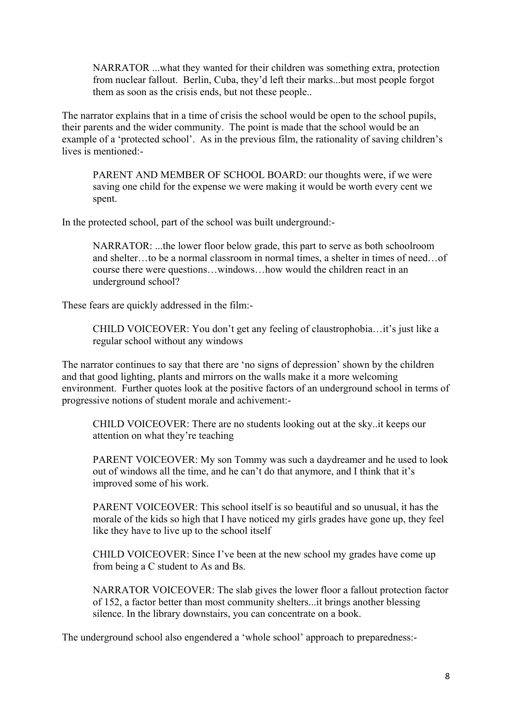NARRATOR ...what they wanted for their children was something extra, protection from nuclear fallout. Berlin, Cuba, they'd left their marks...but most people forgot them as soon as the crisis ends, but not these people..

The narrator explains that in a time of crisis the school would be open to the school pupils, their parents and the wider community. The point is made that the school would be an example of a 'protected school'. As in the previous film, the rationality of saving children's lives is mentioned:-

PARENT AND MEMBER OF SCHOOL BOARD: our thoughts were, if we were saving one child for the expense we were making it would be worth every cent we spent.

In the protected school, part of the school was built underground:-

NARRATOR: ...the lower floor below grade, this part to serve as both schoolroom and shelter…to be a normal classroom in normal times, a shelter in times of need…of course there were questions…windows…how would the children react in an underground school?

These fears are quickly addressed in the film:-

CHILD VOICEOVER: You don't get any feeling of claustrophobia…it's just like a regular school without any windows

The narrator continues to say that there are 'no signs of depression' shown by the children and that good lighting, plants and mirrors on the walls make it a more welcoming environment. Further quotes look at the positive factors of an underground school in terms of progressive notions of student morale and achivement:-

CHILD VOICEOVER: There are no students looking out at the sky..it keeps our attention on what they're teaching

PARENT VOICEOVER: My son Tommy was such a daydreamer and he used to look out of windows all the time, and he can't do that anymore, and I think that it's improved some of his work.

PARENT VOICEOVER: This school itself is so beautiful and so unusual, it has the morale of the kids so high that I have noticed my girls grades have gone up, they feel like they have to live up to the school itself

CHILD VOICEOVER: Since I've been at the new school my grades have come up from being a C student to As and Bs.

NARRATOR VOICEOVER: The slab gives the lower floor a fallout protection factor of 152, a factor better than most community shelters...it brings another blessing silence. In the library downstairs, you can concentrate on a book.

The underground school also engendered a 'whole school' approach to preparedness:-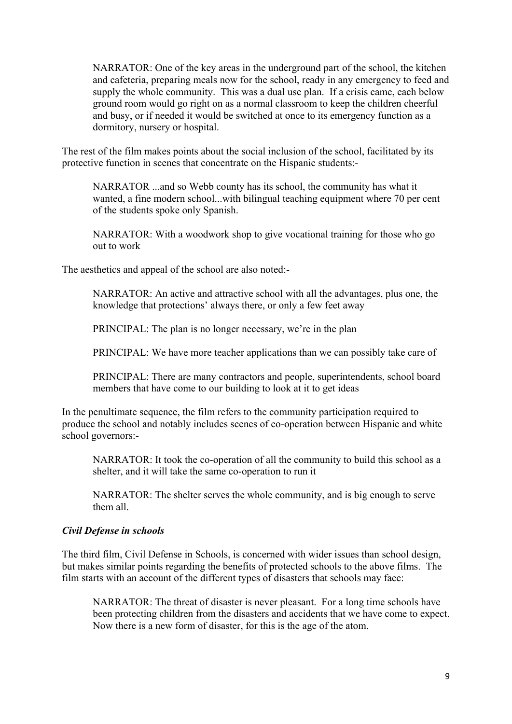NARRATOR: One of the key areas in the underground part of the school, the kitchen and cafeteria, preparing meals now for the school, ready in any emergency to feed and supply the whole community. This was a dual use plan. If a crisis came, each below ground room would go right on as a normal classroom to keep the children cheerful and busy, or if needed it would be switched at once to its emergency function as a dormitory, nursery or hospital.

The rest of the film makes points about the social inclusion of the school, facilitated by its protective function in scenes that concentrate on the Hispanic students:-

NARRATOR ...and so Webb county has its school, the community has what it wanted, a fine modern school...with bilingual teaching equipment where 70 per cent of the students spoke only Spanish.

NARRATOR: With a woodwork shop to give vocational training for those who go out to work

The aesthetics and appeal of the school are also noted:-

NARRATOR: An active and attractive school with all the advantages, plus one, the knowledge that protections' always there, or only a few feet away

PRINCIPAL: The plan is no longer necessary, we're in the plan

PRINCIPAL: We have more teacher applications than we can possibly take care of

PRINCIPAL: There are many contractors and people, superintendents, school board members that have come to our building to look at it to get ideas

In the penultimate sequence, the film refers to the community participation required to produce the school and notably includes scenes of co-operation between Hispanic and white school governors:-

NARRATOR: It took the co-operation of all the community to build this school as a shelter, and it will take the same co-operation to run it

NARRATOR: The shelter serves the whole community, and is big enough to serve them all.

#### *Civil Defense in schools*

The third film, Civil Defense in Schools, is concerned with wider issues than school design, but makes similar points regarding the benefits of protected schools to the above films. The film starts with an account of the different types of disasters that schools may face:

NARRATOR: The threat of disaster is never pleasant. For a long time schools have been protecting children from the disasters and accidents that we have come to expect. Now there is a new form of disaster, for this is the age of the atom.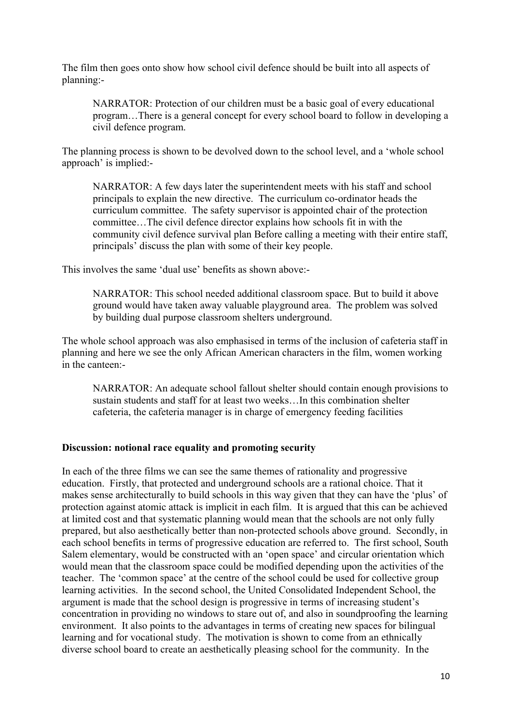The film then goes onto show how school civil defence should be built into all aspects of planning:-

NARRATOR: Protection of our children must be a basic goal of every educational program…There is a general concept for every school board to follow in developing a civil defence program.

The planning process is shown to be devolved down to the school level, and a 'whole school approach' is implied:-

NARRATOR: A few days later the superintendent meets with his staff and school principals to explain the new directive. The curriculum co-ordinator heads the curriculum committee. The safety supervisor is appointed chair of the protection committee…The civil defence director explains how schools fit in with the community civil defence survival plan Before calling a meeting with their entire staff, principals' discuss the plan with some of their key people.

This involves the same 'dual use' benefits as shown above:-

NARRATOR: This school needed additional classroom space. But to build it above ground would have taken away valuable playground area. The problem was solved by building dual purpose classroom shelters underground.

The whole school approach was also emphasised in terms of the inclusion of cafeteria staff in planning and here we see the only African American characters in the film, women working in the canteen:-

NARRATOR: An adequate school fallout shelter should contain enough provisions to sustain students and staff for at least two weeks…In this combination shelter cafeteria, the cafeteria manager is in charge of emergency feeding facilities

### **Discussion: notional race equality and promoting security**

In each of the three films we can see the same themes of rationality and progressive education. Firstly, that protected and underground schools are a rational choice. That it makes sense architecturally to build schools in this way given that they can have the 'plus' of protection against atomic attack is implicit in each film. It is argued that this can be achieved at limited cost and that systematic planning would mean that the schools are not only fully prepared, but also aesthetically better than non-protected schools above ground. Secondly, in each school benefits in terms of progressive education are referred to. The first school, South Salem elementary, would be constructed with an 'open space' and circular orientation which would mean that the classroom space could be modified depending upon the activities of the teacher. The 'common space' at the centre of the school could be used for collective group learning activities. In the second school, the United Consolidated Independent School, the argument is made that the school design is progressive in terms of increasing student's concentration in providing no windows to stare out of, and also in soundproofing the learning environment. It also points to the advantages in terms of creating new spaces for bilingual learning and for vocational study. The motivation is shown to come from an ethnically diverse school board to create an aesthetically pleasing school for the community. In the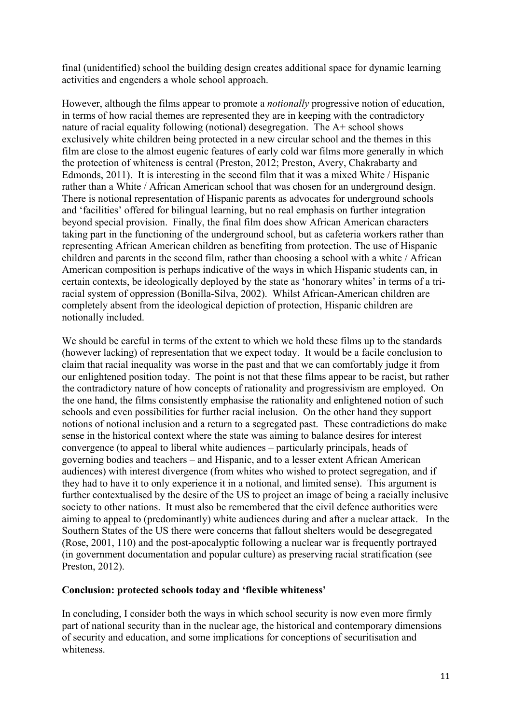final (unidentified) school the building design creates additional space for dynamic learning activities and engenders a whole school approach.

However, although the films appear to promote a *notionally* progressive notion of education, in terms of how racial themes are represented they are in keeping with the contradictory nature of racial equality following (notional) desegregation. The A+ school shows exclusively white children being protected in a new circular school and the themes in this film are close to the almost eugenic features of early cold war films more generally in which the protection of whiteness is central (Preston, 2012; Preston, Avery, Chakrabarty and Edmonds, 2011). It is interesting in the second film that it was a mixed White / Hispanic rather than a White / African American school that was chosen for an underground design. There is notional representation of Hispanic parents as advocates for underground schools and 'facilities' offered for bilingual learning, but no real emphasis on further integration beyond special provision. Finally, the final film does show African American characters taking part in the functioning of the underground school, but as cafeteria workers rather than representing African American children as benefiting from protection. The use of Hispanic children and parents in the second film, rather than choosing a school with a white / African American composition is perhaps indicative of the ways in which Hispanic students can, in certain contexts, be ideologically deployed by the state as 'honorary whites' in terms of a triracial system of oppression (Bonilla-Silva, 2002). Whilst African-American children are completely absent from the ideological depiction of protection, Hispanic children are notionally included.

We should be careful in terms of the extent to which we hold these films up to the standards (however lacking) of representation that we expect today. It would be a facile conclusion to claim that racial inequality was worse in the past and that we can comfortably judge it from our enlightened position today. The point is not that these films appear to be racist, but rather the contradictory nature of how concepts of rationality and progressivism are employed. On the one hand, the films consistently emphasise the rationality and enlightened notion of such schools and even possibilities for further racial inclusion. On the other hand they support notions of notional inclusion and a return to a segregated past. These contradictions do make sense in the historical context where the state was aiming to balance desires for interest convergence (to appeal to liberal white audiences – particularly principals, heads of governing bodies and teachers – and Hispanic, and to a lesser extent African American audiences) with interest divergence (from whites who wished to protect segregation, and if they had to have it to only experience it in a notional, and limited sense). This argument is further contextualised by the desire of the US to project an image of being a racially inclusive society to other nations. It must also be remembered that the civil defence authorities were aiming to appeal to (predominantly) white audiences during and after a nuclear attack. In the Southern States of the US there were concerns that fallout shelters would be desegregated (Rose, 2001, 110) and the post-apocalyptic following a nuclear war is frequently portrayed (in government documentation and popular culture) as preserving racial stratification (see Preston, 2012).

# **Conclusion: protected schools today and 'flexible whiteness'**

In concluding, I consider both the ways in which school security is now even more firmly part of national security than in the nuclear age, the historical and contemporary dimensions of security and education, and some implications for conceptions of securitisation and whiteness.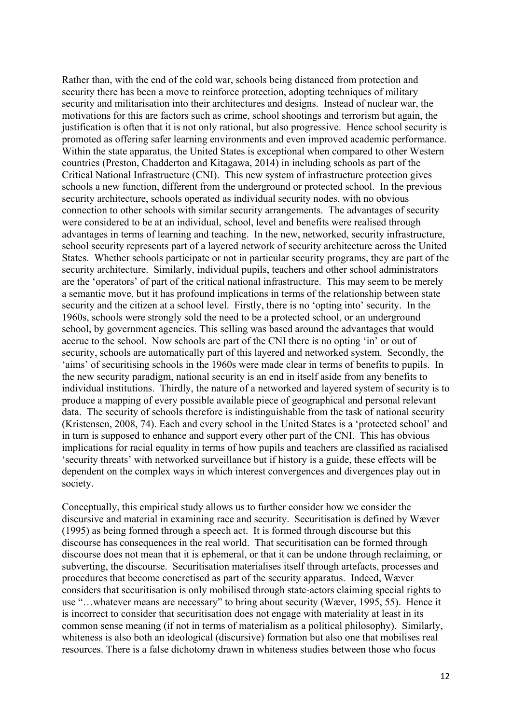Rather than, with the end of the cold war, schools being distanced from protection and security there has been a move to reinforce protection, adopting techniques of military security and militarisation into their architectures and designs. Instead of nuclear war, the motivations for this are factors such as crime, school shootings and terrorism but again, the justification is often that it is not only rational, but also progressive. Hence school security is promoted as offering safer learning environments and even improved academic performance. Within the state apparatus, the United States is exceptional when compared to other Western countries (Preston, Chadderton and Kitagawa, 2014) in including schools as part of the Critical National Infrastructure (CNI). This new system of infrastructure protection gives schools a new function, different from the underground or protected school. In the previous security architecture, schools operated as individual security nodes, with no obvious connection to other schools with similar security arrangements. The advantages of security were considered to be at an individual, school, level and benefits were realised through advantages in terms of learning and teaching. In the new, networked, security infrastructure, school security represents part of a layered network of security architecture across the United States. Whether schools participate or not in particular security programs, they are part of the security architecture. Similarly, individual pupils, teachers and other school administrators are the 'operators' of part of the critical national infrastructure. This may seem to be merely a semantic move, but it has profound implications in terms of the relationship between state security and the citizen at a school level. Firstly, there is no 'opting into' security. In the 1960s, schools were strongly sold the need to be a protected school, or an underground school, by government agencies. This selling was based around the advantages that would accrue to the school. Now schools are part of the CNI there is no opting 'in' or out of security, schools are automatically part of this layered and networked system. Secondly, the 'aims' of securitising schools in the 1960s were made clear in terms of benefits to pupils. In the new security paradigm, national security is an end in itself aside from any benefits to individual institutions. Thirdly, the nature of a networked and layered system of security is to produce a mapping of every possible available piece of geographical and personal relevant data. The security of schools therefore is indistinguishable from the task of national security (Kristensen, 2008, 74). Each and every school in the United States is a 'protected school' and in turn is supposed to enhance and support every other part of the CNI. This has obvious implications for racial equality in terms of how pupils and teachers are classified as racialised 'security threats' with networked surveillance but if history is a guide, these effects will be dependent on the complex ways in which interest convergences and divergences play out in society.

Conceptually, this empirical study allows us to further consider how we consider the discursive and material in examining race and security. Securitisation is defined by Wæver (1995) as being formed through a speech act. It is formed through discourse but this discourse has consequences in the real world. That securitisation can be formed through discourse does not mean that it is ephemeral, or that it can be undone through reclaiming, or subverting, the discourse. Securitisation materialises itself through artefacts, processes and procedures that become concretised as part of the security apparatus. Indeed, Wæver considers that securitisation is only mobilised through state-actors claiming special rights to use "…whatever means are necessary" to bring about security (Wæver, 1995, 55). Hence it is incorrect to consider that securitisation does not engage with materiality at least in its common sense meaning (if not in terms of materialism as a political philosophy). Similarly, whiteness is also both an ideological (discursive) formation but also one that mobilises real resources. There is a false dichotomy drawn in whiteness studies between those who focus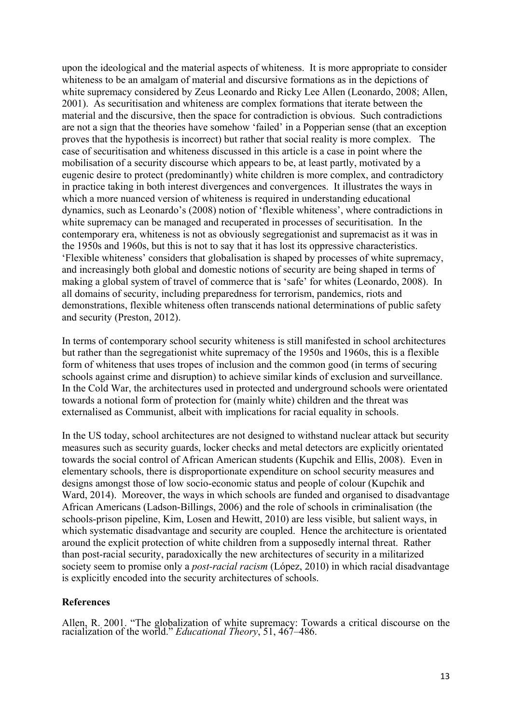upon the ideological and the material aspects of whiteness. It is more appropriate to consider whiteness to be an amalgam of material and discursive formations as in the depictions of white supremacy considered by Zeus Leonardo and Ricky Lee Allen (Leonardo, 2008; Allen, 2001). As securitisation and whiteness are complex formations that iterate between the material and the discursive, then the space for contradiction is obvious. Such contradictions are not a sign that the theories have somehow 'failed' in a Popperian sense (that an exception proves that the hypothesis is incorrect) but rather that social reality is more complex. The case of securitisation and whiteness discussed in this article is a case in point where the mobilisation of a security discourse which appears to be, at least partly, motivated by a eugenic desire to protect (predominantly) white children is more complex, and contradictory in practice taking in both interest divergences and convergences. It illustrates the ways in which a more nuanced version of whiteness is required in understanding educational dynamics, such as Leonardo's (2008) notion of 'flexible whiteness', where contradictions in white supremacy can be managed and recuperated in processes of securitisation. In the contemporary era, whiteness is not as obviously segregationist and supremacist as it was in the 1950s and 1960s, but this is not to say that it has lost its oppressive characteristics. 'Flexible whiteness' considers that globalisation is shaped by processes of white supremacy, and increasingly both global and domestic notions of security are being shaped in terms of making a global system of travel of commerce that is 'safe' for whites (Leonardo, 2008). In all domains of security, including preparedness for terrorism, pandemics, riots and demonstrations, flexible whiteness often transcends national determinations of public safety and security (Preston, 2012).

In terms of contemporary school security whiteness is still manifested in school architectures but rather than the segregationist white supremacy of the 1950s and 1960s, this is a flexible form of whiteness that uses tropes of inclusion and the common good (in terms of securing schools against crime and disruption) to achieve similar kinds of exclusion and surveillance. In the Cold War, the architectures used in protected and underground schools were orientated towards a notional form of protection for (mainly white) children and the threat was externalised as Communist, albeit with implications for racial equality in schools.

In the US today, school architectures are not designed to withstand nuclear attack but security measures such as security guards, locker checks and metal detectors are explicitly orientated towards the social control of African American students (Kupchik and Ellis, 2008). Even in elementary schools, there is disproportionate expenditure on school security measures and designs amongst those of low socio-economic status and people of colour (Kupchik and Ward, 2014). Moreover, the ways in which schools are funded and organised to disadvantage African Americans (Ladson-Billings, 2006) and the role of schools in criminalisation (the schools-prison pipeline, Kim, Losen and Hewitt, 2010) are less visible, but salient ways, in which systematic disadvantage and security are coupled. Hence the architecture is orientated around the explicit protection of white children from a supposedly internal threat. Rather than post-racial security, paradoxically the new architectures of security in a militarized society seem to promise only a *post-racial racism* (López, 2010) in which racial disadvantage is explicitly encoded into the security architectures of schools.

#### **References**

Allen, R. 2001. "The globalization of white supremacy: Towards a critical discourse on the racialization of the world." *Educational Theory*, 51, 467–486.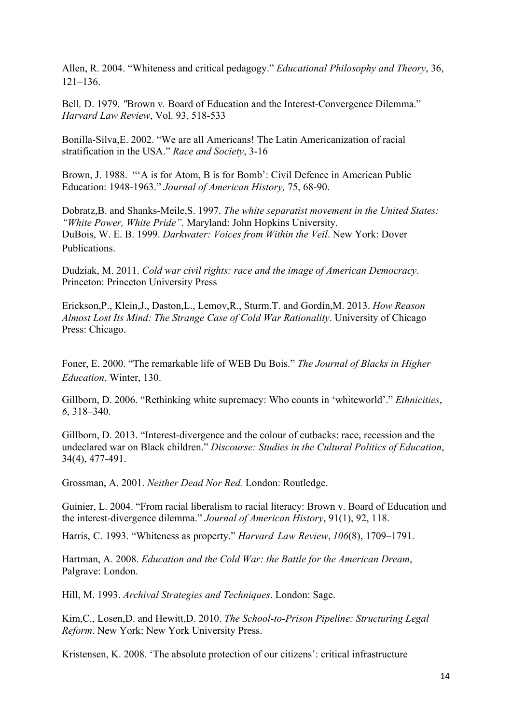Allen, R. 2004. "Whiteness and critical pedagogy." *Educational Philosophy and Theory*, 36, 121–136.

Bell, D. 1979. "Brown v. Board of Education and the Interest-Convergence Dilemma." *Harvard Law Review*, Vol. 93, 518-533

Bonilla-Silva,E. 2002. "We are all Americans! The Latin Americanization of racial stratification in the USA." *Race and Society*, 3-16

Brown, J. 1988. "'A is for Atom, B is for Bomb': Civil Defence in American Public Education: 1948-1963." *Journal of American History,* 75, 68-90.

Dobratz,B. and Shanks-Meile,S. 1997. *The white separatist movement in the United States: "White Power, White Pride".* Maryland: John Hopkins University. DuBois, W. E. B. 1999. *Darkwater: Voices from Within the Veil*. New York: Dover Publications.

Dudziak, M. 2011. *Cold war civil rights: race and the image of American Democracy*. Princeton: Princeton University Press

Erickson,P., Klein,J., Daston,L., Lemov,R., Sturm,T. and Gordin,M. 2013. *How Reason Almost Lost Its Mind: The Strange Case of Cold War Rationality*. University of Chicago Press: Chicago.

Foner, E. 2000. "The remarkable life of WEB Du Bois." *The Journal of Blacks in Higher Education*, Winter, 130.

Gillborn, D. 2006. "Rethinking white supremacy: Who counts in 'whiteworld'." *Ethnicities*, *6*, 318–340.

Gillborn, D. 2013. "Interest-divergence and the colour of cutbacks: race, recession and the undeclared war on Black children." *Discourse: Studies in the Cultural Politics of Education*, 34(4), 477-491.

Grossman, A. 2001. *Neither Dead Nor Red.* London: Routledge.

Guinier, L. 2004. "From racial liberalism to racial literacy: Brown v. Board of Education and the interest-divergence dilemma." *Journal of American History*, 91(1), 92, 118.

Harris, C. 1993. "Whiteness as property." *Harvard Law Review*, *106*(8), 1709–1791.

Hartman, A. 2008. *Education and the Cold War: the Battle for the American Dream*, Palgrave: London.

Hill, M. 1993. *Archival Strategies and Techniques*. London: Sage.

Kim,C., Losen,D. and Hewitt,D. 2010. *The School-to-Prison Pipeline: Structuring Legal Reform*. New York: New York University Press.

Kristensen, K. 2008. 'The absolute protection of our citizens': critical infrastructure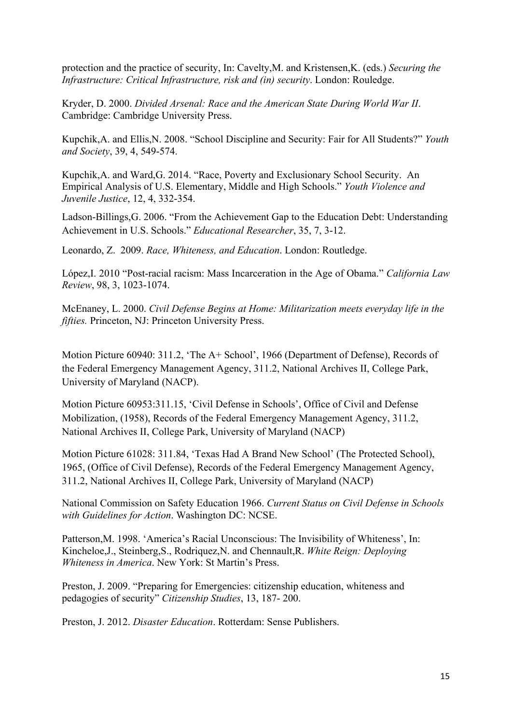protection and the practice of security, In: Cavelty,M. and Kristensen,K. (eds.) *Securing the Infrastructure: Critical Infrastructure, risk and (in) security*. London: Rouledge.

Kryder, D. 2000. *Divided Arsenal: Race and the American State During World War II*. Cambridge: Cambridge University Press.

Kupchik,A. and Ellis,N. 2008. "School Discipline and Security: Fair for All Students?" *Youth and Society*, 39, 4, 549-574.

Kupchik,A. and Ward,G. 2014. "Race, Poverty and Exclusionary School Security. An Empirical Analysis of U.S. Elementary, Middle and High Schools." *Youth Violence and Juvenile Justice*, 12, 4, 332-354.

Ladson-Billings,G. 2006. "From the Achievement Gap to the Education Debt: Understanding Achievement in U.S. Schools." *Educational Researcher*, 35, 7, 3-12.

Leonardo, Z. 2009. *Race, Whiteness, and Education*. London: Routledge.

López,I. 2010 "Post-racial racism: Mass Incarceration in the Age of Obama." *California Law Review*, 98, 3, 1023-1074.

McEnaney, L. 2000. *Civil Defense Begins at Home: Militarization meets everyday life in the fifties.* Princeton, NJ: Princeton University Press.

Motion Picture 60940: 311.2, 'The A+ School', 1966 (Department of Defense), Records of the Federal Emergency Management Agency, 311.2, National Archives II, College Park, University of Maryland (NACP).

Motion Picture 60953:311.15, 'Civil Defense in Schools', Office of Civil and Defense Mobilization, (1958), Records of the Federal Emergency Management Agency, 311.2, National Archives II, College Park, University of Maryland (NACP)

Motion Picture 61028: 311.84, 'Texas Had A Brand New School' (The Protected School), 1965, (Office of Civil Defense), Records of the Federal Emergency Management Agency, 311.2, National Archives II, College Park, University of Maryland (NACP)

National Commission on Safety Education 1966. *Current Status on Civil Defense in Schools with Guidelines for Action*. Washington DC: NCSE.

Patterson,M. 1998. 'America's Racial Unconscious: The Invisibility of Whiteness', In: Kincheloe,J., Steinberg,S., Rodriquez,N. and Chennault,R. *White Reign: Deploying Whiteness in America*. New York: St Martin's Press.

Preston, J. 2009. "Preparing for Emergencies: citizenship education, whiteness and pedagogies of security" *Citizenship Studies*, 13, 187- 200.

Preston, J. 2012. *Disaster Education*. Rotterdam: Sense Publishers.